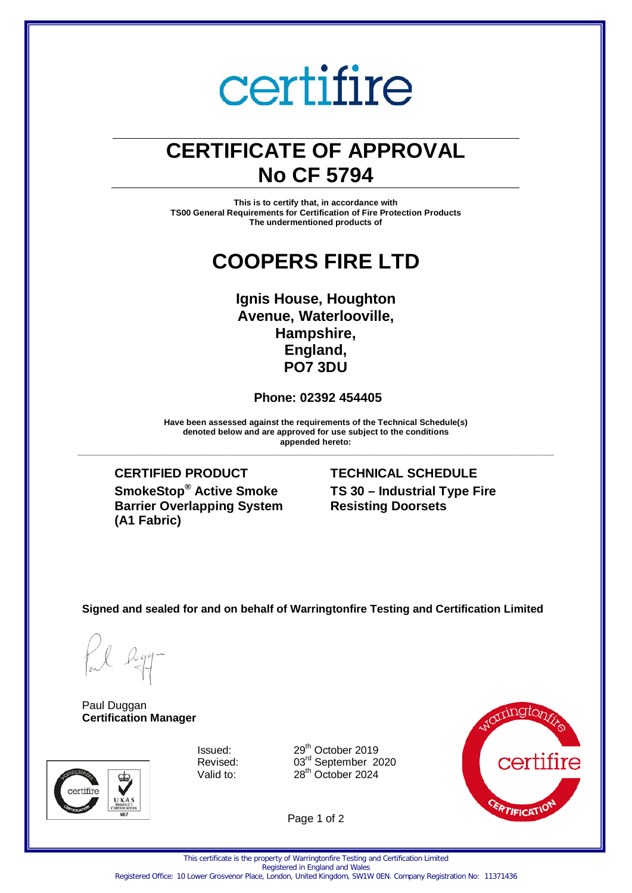# certifire

## **CERTIFICATE OF APPROVAL No CF 5794**

**This is to certify that, in accordance with TS00 General Requirements for Certification of Fire Protection Products The undermentioned products of**

### **COOPERS FIRE LTD**

#### **Ignis House, Houghton Avenue, Waterlooville, Hampshire, England, PO7 3DU**

#### **Phone: 02392 454405**

**Have been assessed against the requirements of the Technical Schedule(s) denoted below and are approved for use subject to the conditions appended hereto: \_\_\_\_\_\_\_\_\_\_\_\_\_\_\_\_\_\_\_\_\_\_\_\_\_\_\_\_\_\_\_\_\_\_\_\_\_\_\_\_\_\_\_\_\_\_\_\_\_\_\_\_\_\_\_\_\_\_\_\_\_\_\_\_\_\_\_\_\_\_\_\_\_\_\_\_\_\_\_\_\_\_\_\_\_\_\_\_\_\_\_\_\_\_\_\_\_\_\_\_\_**

**CERTIFIED PRODUCT TECHNICAL SCHEDULE SmokeStop® Active Smoke Barrier Overlapping System (A1 Fabric)**

### **TS 30 – Industrial Type Fire Resisting Doorsets**

**Signed and sealed for and on behalf of Warringtonfire Testing and Certification Limited**

Paul Duggan **Certification Manager**



Issued: 29<sup>th</sup> October 2019<br>Revised: 03<sup>rd</sup> September 2 Revised:  $03^{\text{rd}}$  September 2020<br>Valid to:  $28^{\text{th}}$  October 2024  $28<sup>th</sup>$  October 2024

Page 1 of 2



This certificate is the property of Warringtonfire Testing and Certification Limited

Registered in England and Wales